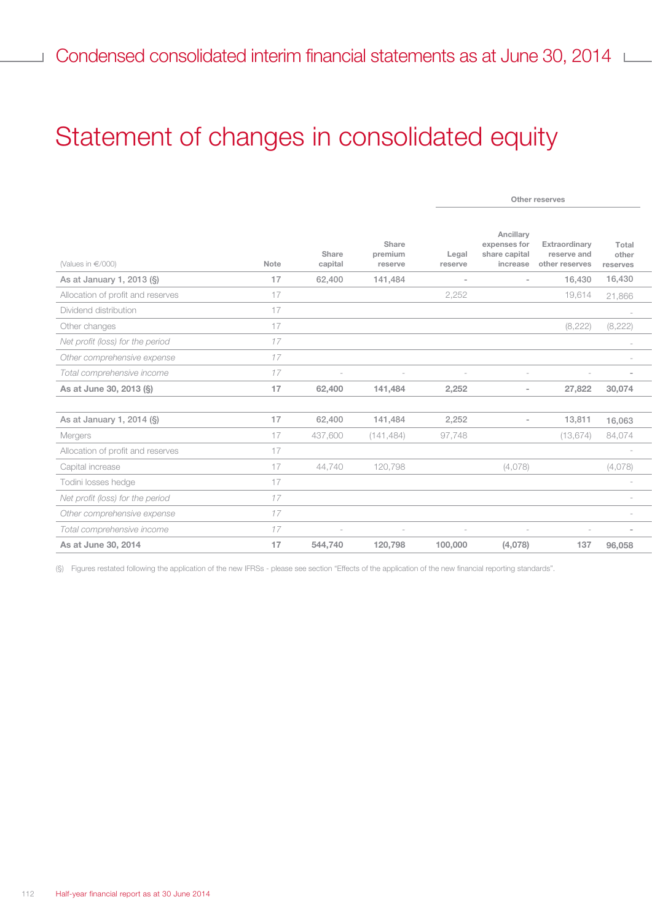## Statement of changes in consolidated equity

|                                   |      |                  |                             |                  |                                                        | Other reserves                                 |                            |
|-----------------------------------|------|------------------|-----------------------------|------------------|--------------------------------------------------------|------------------------------------------------|----------------------------|
| (Values in €/000)                 | Note | Share<br>capital | Share<br>premium<br>reserve | Legal<br>reserve | Ancillary<br>expenses for<br>share capital<br>increase | Extraordinary<br>reserve and<br>other reserves | Total<br>other<br>reserves |
| As at January 1, 2013 (§)         | 17   | 62,400           | 141,484                     | $\sim$           |                                                        | 16,430                                         | 16,430                     |
| Allocation of profit and reserves | 17   |                  |                             | 2,252            |                                                        | 19,614                                         | 21,866                     |
| Dividend distribution             | 17   |                  |                             |                  |                                                        |                                                | $\overline{\phantom{a}}$   |
| Other changes                     | 17   |                  |                             |                  |                                                        | (8,222)                                        | (8,222)                    |
| Net profit (loss) for the period  | 17   |                  |                             |                  |                                                        |                                                |                            |
| Other comprehensive expense       | 17   |                  |                             |                  |                                                        |                                                |                            |
| Total comprehensive income        | 17   |                  |                             |                  |                                                        |                                                |                            |
| As at June 30, 2013 (§)           | 17   | 62,400           | 141,484                     | 2,252            | $\sim$                                                 | 27,822                                         | 30,074                     |
|                                   |      |                  |                             |                  |                                                        |                                                |                            |
| As at January 1, 2014 (§)         | 17   | 62,400           | 141,484                     | 2,252            | $\sim$                                                 | 13,811                                         | 16,063                     |
| Mergers                           | 17   | 437,600          | (141, 484)                  | 97,748           |                                                        | (13, 674)                                      | 84,074                     |
| Allocation of profit and reserves | 17   |                  |                             |                  |                                                        |                                                |                            |
| Capital increase                  | 17   | 44,740           | 120,798                     |                  | (4,078)                                                |                                                | (4,078)                    |
| Todini losses hedge               | 17   |                  |                             |                  |                                                        |                                                |                            |
| Net profit (loss) for the period  | 17   |                  |                             |                  |                                                        |                                                | $\sim$                     |
| Other comprehensive expense       | 17   |                  |                             |                  |                                                        |                                                | $\overline{\phantom{a}}$   |
| Total comprehensive income        | 17   | $\sim$           | $\sim$                      |                  |                                                        |                                                | $\sim$                     |
| As at June 30, 2014               | 17   | 544,740          | 120,798                     | 100,000          | (4,078)                                                | 137                                            | 96,058                     |

(§) Figures restated following the application of the new IFRSs - please see section "Effects of the application of the new financial reporting standards".

Ï